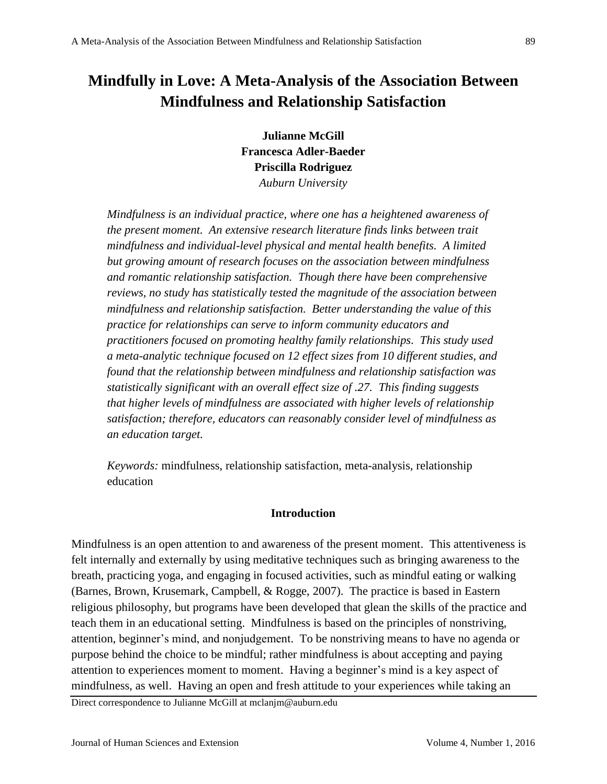# **Mindfully in Love: A Meta-Analysis of the Association Between Mindfulness and Relationship Satisfaction**

**Julianne McGill Francesca Adler-Baeder Priscilla Rodriguez** *Auburn University*

*Mindfulness is an individual practice, where one has a heightened awareness of the present moment. An extensive research literature finds links between trait mindfulness and individual-level physical and mental health benefits. A limited but growing amount of research focuses on the association between mindfulness and romantic relationship satisfaction. Though there have been comprehensive reviews, no study has statistically tested the magnitude of the association between mindfulness and relationship satisfaction. Better understanding the value of this practice for relationships can serve to inform community educators and practitioners focused on promoting healthy family relationships. This study used a meta-analytic technique focused on 12 effect sizes from 10 different studies, and found that the relationship between mindfulness and relationship satisfaction was statistically significant with an overall effect size of .27. This finding suggests that higher levels of mindfulness are associated with higher levels of relationship satisfaction; therefore, educators can reasonably consider level of mindfulness as an education target.* 

*Keywords:* mindfulness, relationship satisfaction, meta-analysis, relationship education

## **Introduction**

Mindfulness is an open attention to and awareness of the present moment. This attentiveness is felt internally and externally by using meditative techniques such as bringing awareness to the breath, practicing yoga, and engaging in focused activities, such as mindful eating or walking (Barnes, Brown, Krusemark, Campbell, & Rogge, 2007). The practice is based in Eastern religious philosophy, but programs have been developed that glean the skills of the practice and teach them in an educational setting. Mindfulness is based on the principles of nonstriving, attention, beginner's mind, and nonjudgement. To be nonstriving means to have no agenda or purpose behind the choice to be mindful; rather mindfulness is about accepting and paying attention to experiences moment to moment. Having a beginner's mind is a key aspect of mindfulness, as well. Having an open and fresh attitude to your experiences while taking an

Direct correspondence to Julianne McGill at mclanjm@auburn.edu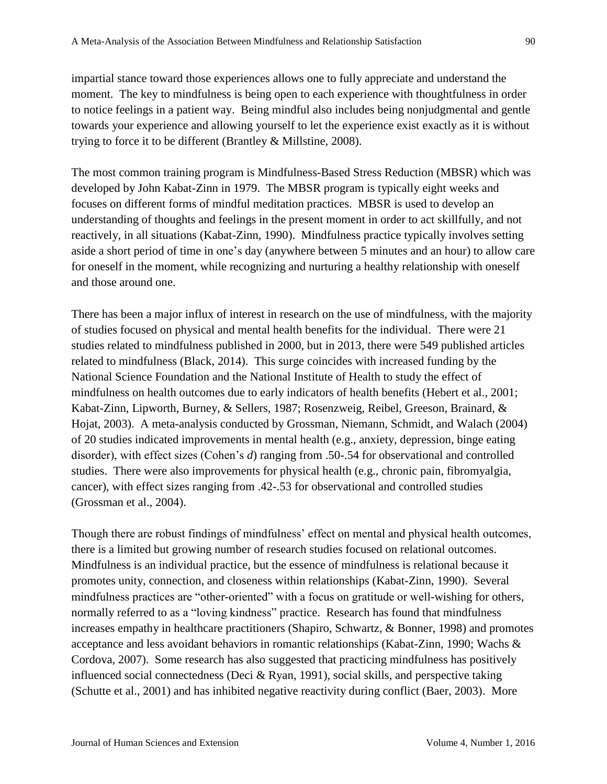impartial stance toward those experiences allows one to fully appreciate and understand the moment. The key to mindfulness is being open to each experience with thoughtfulness in order to notice feelings in a patient way. Being mindful also includes being nonjudgmental and gentle towards your experience and allowing yourself to let the experience exist exactly as it is without trying to force it to be different (Brantley & Millstine, 2008).

The most common training program is Mindfulness-Based Stress Reduction (MBSR) which was developed by John Kabat-Zinn in 1979. The MBSR program is typically eight weeks and focuses on different forms of mindful meditation practices. MBSR is used to develop an understanding of thoughts and feelings in the present moment in order to act skillfully, and not reactively, in all situations (Kabat-Zinn, 1990). Mindfulness practice typically involves setting aside a short period of time in one's day (anywhere between 5 minutes and an hour) to allow care for oneself in the moment, while recognizing and nurturing a healthy relationship with oneself and those around one.

There has been a major influx of interest in research on the use of mindfulness, with the majority of studies focused on physical and mental health benefits for the individual. There were 21 studies related to mindfulness published in 2000, but in 2013, there were 549 published articles related to mindfulness (Black, 2014). This surge coincides with increased funding by the National Science Foundation and the National Institute of Health to study the effect of mindfulness on health outcomes due to early indicators of health benefits (Hebert et al., 2001; Kabat-Zinn, Lipworth, Burney, & Sellers, 1987; Rosenzweig, Reibel, Greeson, Brainard, & Hojat, 2003). A meta-analysis conducted by Grossman, Niemann, Schmidt, and Walach (2004) of 20 studies indicated improvements in mental health (e.g., anxiety, depression, binge eating disorder), with effect sizes (Cohen's *d*) ranging from .50-.54 for observational and controlled studies. There were also improvements for physical health (e.g., chronic pain, fibromyalgia, cancer), with effect sizes ranging from .42-.53 for observational and controlled studies (Grossman et al., 2004).

Though there are robust findings of mindfulness' effect on mental and physical health outcomes, there is a limited but growing number of research studies focused on relational outcomes. Mindfulness is an individual practice, but the essence of mindfulness is relational because it promotes unity, connection, and closeness within relationships (Kabat-Zinn, 1990). Several mindfulness practices are "other-oriented" with a focus on gratitude or well-wishing for others, normally referred to as a "loving kindness" practice. Research has found that mindfulness increases empathy in healthcare practitioners (Shapiro, Schwartz, & Bonner, 1998) and promotes acceptance and less avoidant behaviors in romantic relationships (Kabat-Zinn, 1990; Wachs & Cordova, 2007). Some research has also suggested that practicing mindfulness has positively influenced social connectedness (Deci & Ryan, 1991), social skills, and perspective taking (Schutte et al., 2001) and has inhibited negative reactivity during conflict (Baer, 2003). More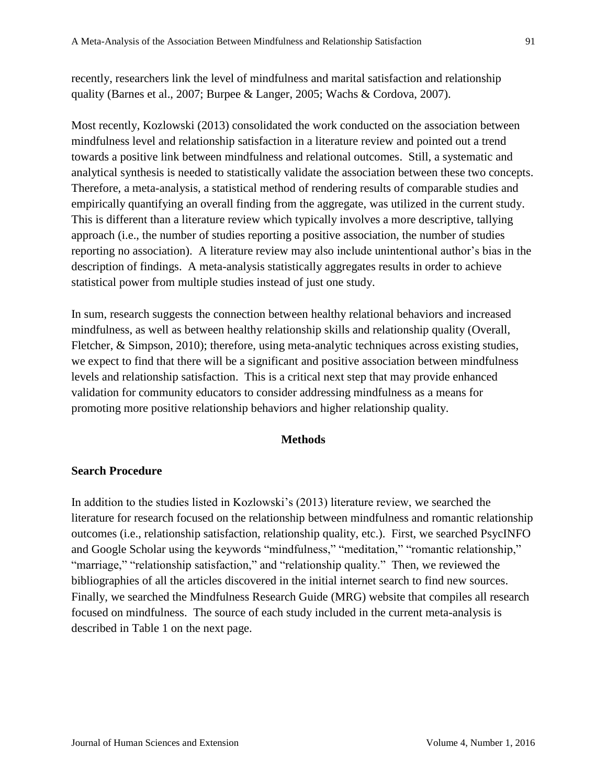recently, researchers link the level of mindfulness and marital satisfaction and relationship quality (Barnes et al., 2007; Burpee & Langer, 2005; Wachs & Cordova, 2007).

Most recently, Kozlowski (2013) consolidated the work conducted on the association between mindfulness level and relationship satisfaction in a literature review and pointed out a trend towards a positive link between mindfulness and relational outcomes. Still, a systematic and analytical synthesis is needed to statistically validate the association between these two concepts. Therefore, a meta-analysis, a statistical method of rendering results of comparable studies and empirically quantifying an overall finding from the aggregate, was utilized in the current study. This is different than a literature review which typically involves a more descriptive, tallying approach (i.e., the number of studies reporting a positive association, the number of studies reporting no association). A literature review may also include unintentional author's bias in the description of findings. A meta-analysis statistically aggregates results in order to achieve statistical power from multiple studies instead of just one study.

In sum, research suggests the connection between healthy relational behaviors and increased mindfulness, as well as between healthy relationship skills and relationship quality (Overall, Fletcher, & Simpson, 2010); therefore, using meta-analytic techniques across existing studies, we expect to find that there will be a significant and positive association between mindfulness levels and relationship satisfaction. This is a critical next step that may provide enhanced validation for community educators to consider addressing mindfulness as a means for promoting more positive relationship behaviors and higher relationship quality.

#### **Methods**

#### **Search Procedure**

In addition to the studies listed in Kozlowski's (2013) literature review, we searched the literature for research focused on the relationship between mindfulness and romantic relationship outcomes (i.e., relationship satisfaction, relationship quality, etc.). First, we searched PsycINFO and Google Scholar using the keywords "mindfulness," "meditation," "romantic relationship," "marriage," "relationship satisfaction," and "relationship quality." Then, we reviewed the bibliographies of all the articles discovered in the initial internet search to find new sources. Finally, we searched the Mindfulness Research Guide (MRG) website that compiles all research focused on mindfulness. The source of each study included in the current meta-analysis is described in Table 1 on the next page.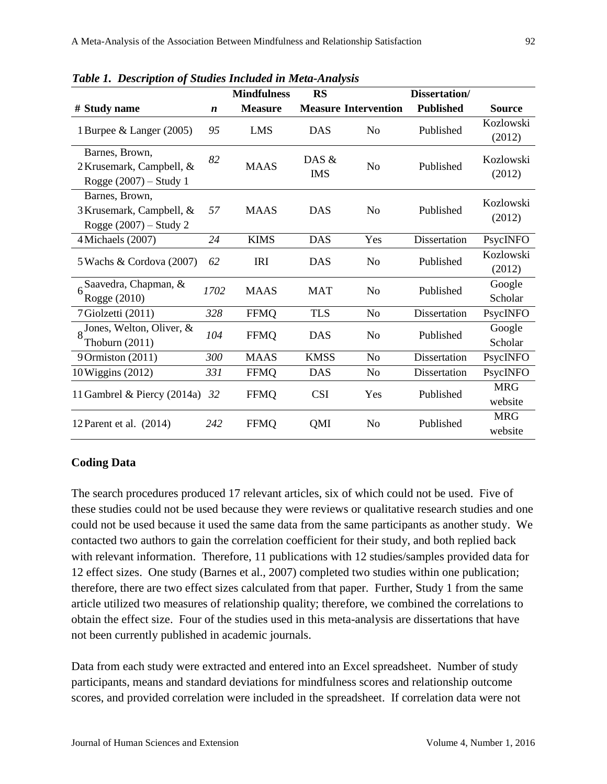|                                                                         |                  | <b>Mindfulness</b> | <b>RS</b>           |                             | Dissertation/    |                       |
|-------------------------------------------------------------------------|------------------|--------------------|---------------------|-----------------------------|------------------|-----------------------|
| # Study name                                                            | $\boldsymbol{n}$ | <b>Measure</b>     |                     | <b>Measure Intervention</b> | <b>Published</b> | <b>Source</b>         |
| 1 Burpee & Langer (2005)                                                | 95               | <b>LMS</b>         | <b>DAS</b>          | N <sub>o</sub>              | Published        | Kozlowski<br>(2012)   |
| Barnes, Brown,<br>2 Krusemark, Campbell, &<br>Rogge $(2007)$ – Study 1  | 82               | <b>MAAS</b>        | DAS &<br><b>IMS</b> | No                          | Published        | Kozlowski<br>(2012)   |
| Barnes, Brown,<br>3 Krusemark, Campbell, &<br>Rogge $(2007)$ – Study 2  | 57               | <b>MAAS</b>        | <b>DAS</b>          | N <sub>o</sub>              | Published        | Kozlowski<br>(2012)   |
| 4 Michaels (2007)                                                       | 24               | <b>KIMS</b>        | <b>DAS</b>          | Yes                         | Dissertation     | PsycINFO              |
| 5 Wachs & Cordova (2007)                                                | 62               | <b>IRI</b>         | <b>DAS</b>          | N <sub>o</sub>              | Published        | Kozlowski<br>(2012)   |
| Saavedra, Chapman, $\&$<br>Rogge (2010)                                 | 1702             | <b>MAAS</b>        | <b>MAT</b>          | N <sub>o</sub>              | Published        | Google<br>Scholar     |
| 7 Giolzetti (2011)                                                      | 328              | <b>FFMQ</b>        | <b>TLS</b>          | N <sub>o</sub>              | Dissertation     | PsycINFO              |
| $8\frac{\text{Jones}}{\text{}}$ , Welton, Oliver, &<br>Thoburn $(2011)$ | 104              | <b>FFMQ</b>        | <b>DAS</b>          | N <sub>o</sub>              | Published        | Google<br>Scholar     |
| 9 Ormiston (2011)                                                       | 300              | <b>MAAS</b>        | <b>KMSS</b>         | N <sub>o</sub>              | Dissertation     | PsycINFO              |
| 10 Wiggins (2012)                                                       | 331              | <b>FFMQ</b>        | <b>DAS</b>          | N <sub>o</sub>              | Dissertation     | PsycINFO              |
| 11 Gambrel & Piercy (2014a)                                             | 32               | <b>FFMQ</b>        | <b>CSI</b>          | Yes                         | Published        | <b>MRG</b><br>website |
| 12 Parent et al. $(2014)$                                               | 242              | <b>FFMQ</b>        | QMI                 | N <sub>o</sub>              | Published        | <b>MRG</b><br>website |

*Table 1. Description of Studies Included in Meta-Analysis*

## **Coding Data**

The search procedures produced 17 relevant articles, six of which could not be used. Five of these studies could not be used because they were reviews or qualitative research studies and one could not be used because it used the same data from the same participants as another study. We contacted two authors to gain the correlation coefficient for their study, and both replied back with relevant information. Therefore, 11 publications with 12 studies/samples provided data for 12 effect sizes. One study (Barnes et al., 2007) completed two studies within one publication; therefore, there are two effect sizes calculated from that paper. Further, Study 1 from the same article utilized two measures of relationship quality; therefore, we combined the correlations to obtain the effect size. Four of the studies used in this meta-analysis are dissertations that have not been currently published in academic journals.

Data from each study were extracted and entered into an Excel spreadsheet. Number of study participants, means and standard deviations for mindfulness scores and relationship outcome scores, and provided correlation were included in the spreadsheet. If correlation data were not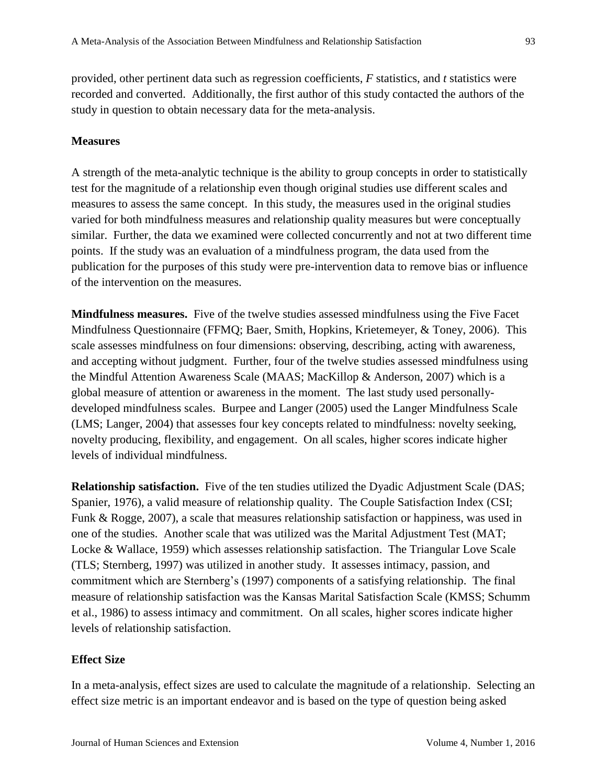provided, other pertinent data such as regression coefficients, *F* statistics, and *t* statistics were recorded and converted. Additionally, the first author of this study contacted the authors of the study in question to obtain necessary data for the meta-analysis.

#### **Measures**

A strength of the meta-analytic technique is the ability to group concepts in order to statistically test for the magnitude of a relationship even though original studies use different scales and measures to assess the same concept. In this study, the measures used in the original studies varied for both mindfulness measures and relationship quality measures but were conceptually similar. Further, the data we examined were collected concurrently and not at two different time points. If the study was an evaluation of a mindfulness program, the data used from the publication for the purposes of this study were pre-intervention data to remove bias or influence of the intervention on the measures.

**Mindfulness measures.** Five of the twelve studies assessed mindfulness using the Five Facet Mindfulness Questionnaire (FFMQ; Baer, Smith, Hopkins, Krietemeyer, & Toney, 2006). This scale assesses mindfulness on four dimensions: observing, describing, acting with awareness, and accepting without judgment. Further, four of the twelve studies assessed mindfulness using the Mindful Attention Awareness Scale (MAAS; MacKillop & Anderson, 2007) which is a global measure of attention or awareness in the moment. The last study used personallydeveloped mindfulness scales. Burpee and Langer (2005) used the Langer Mindfulness Scale (LMS; Langer, 2004) that assesses four key concepts related to mindfulness: novelty seeking, novelty producing, flexibility, and engagement. On all scales, higher scores indicate higher levels of individual mindfulness.

**Relationship satisfaction.** Five of the ten studies utilized the Dyadic Adjustment Scale (DAS; Spanier, 1976), a valid measure of relationship quality. The Couple Satisfaction Index (CSI; Funk & Rogge, 2007), a scale that measures relationship satisfaction or happiness, was used in one of the studies. Another scale that was utilized was the Marital Adjustment Test (MAT; Locke & Wallace, 1959) which assesses relationship satisfaction. The Triangular Love Scale (TLS; Sternberg, 1997) was utilized in another study. It assesses intimacy, passion, and commitment which are Sternberg's (1997) components of a satisfying relationship. The final measure of relationship satisfaction was the Kansas Marital Satisfaction Scale (KMSS; Schumm et al., 1986) to assess intimacy and commitment. On all scales, higher scores indicate higher levels of relationship satisfaction.

#### **Effect Size**

In a meta-analysis, effect sizes are used to calculate the magnitude of a relationship. Selecting an effect size metric is an important endeavor and is based on the type of question being asked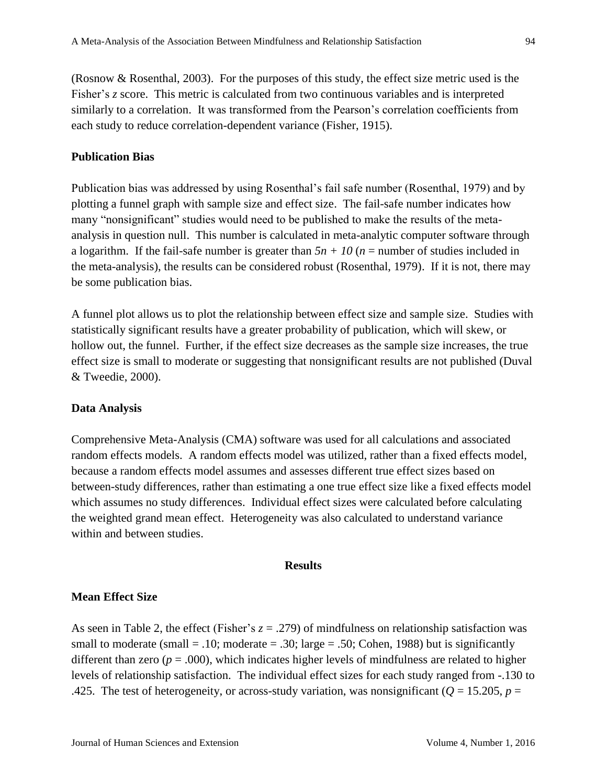(Rosnow & Rosenthal, 2003). For the purposes of this study, the effect size metric used is the Fisher's *z* score. This metric is calculated from two continuous variables and is interpreted similarly to a correlation. It was transformed from the Pearson's correlation coefficients from each study to reduce correlation-dependent variance (Fisher, 1915).

## **Publication Bias**

Publication bias was addressed by using Rosenthal's fail safe number (Rosenthal, 1979) and by plotting a funnel graph with sample size and effect size. The fail-safe number indicates how many "nonsignificant" studies would need to be published to make the results of the metaanalysis in question null. This number is calculated in meta-analytic computer software through a logarithm. If the fail-safe number is greater than  $5n + 10$  ( $n =$  number of studies included in the meta-analysis), the results can be considered robust (Rosenthal, 1979). If it is not, there may be some publication bias.

A funnel plot allows us to plot the relationship between effect size and sample size. Studies with statistically significant results have a greater probability of publication, which will skew, or hollow out, the funnel. Further, if the effect size decreases as the sample size increases, the true effect size is small to moderate or suggesting that nonsignificant results are not published (Duval & Tweedie, 2000).

# **Data Analysis**

Comprehensive Meta-Analysis (CMA) software was used for all calculations and associated random effects models. A random effects model was utilized, rather than a fixed effects model, because a random effects model assumes and assesses different true effect sizes based on between-study differences, rather than estimating a one true effect size like a fixed effects model which assumes no study differences. Individual effect sizes were calculated before calculating the weighted grand mean effect. Heterogeneity was also calculated to understand variance within and between studies.

#### **Results**

## **Mean Effect Size**

As seen in Table 2, the effect (Fisher's  $z = .279$ ) of mindfulness on relationship satisfaction was small to moderate (small  $= .10$ ; moderate  $= .30$ ; large  $= .50$ ; Cohen, 1988) but is significantly different than zero ( $p = .000$ ), which indicates higher levels of mindfulness are related to higher levels of relationship satisfaction. The individual effect sizes for each study ranged from -.130 to .425. The test of heterogeneity, or across-study variation, was nonsignificant ( $Q = 15.205$ ,  $p =$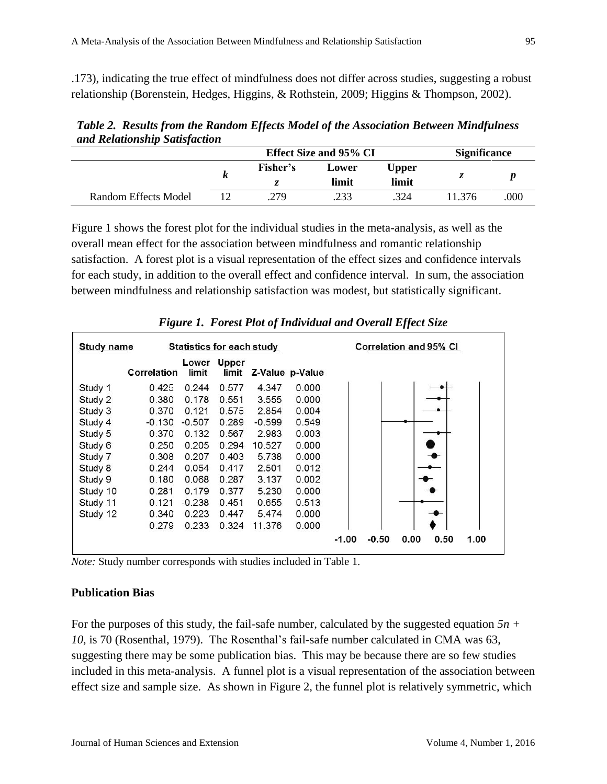.173), indicating the true effect of mindfulness does not differ across studies, suggesting a robust relationship (Borenstein, Hedges, Higgins, & Rothstein, 2009; Higgins & Thompson, 2002).

*Table 2. Results from the Random Effects Model of the Association Between Mindfulness and Relationship Satisfaction*

|                      |   | Effect Size and 95% CI | <b>Significance</b> |                |        |     |
|----------------------|---|------------------------|---------------------|----------------|--------|-----|
|                      | К | Fisher's               | Lower<br>limit      | Upper<br>limit | ^.     |     |
|                      |   |                        |                     |                |        |     |
| Random Effects Model |   | .279                   | .233                | 324            | 11.376 | 000 |

Figure 1 shows the forest plot for the individual studies in the meta-analysis, as well as the overall mean effect for the association between mindfulness and romantic relationship satisfaction. A forest plot is a visual representation of the effect sizes and confidence intervals for each study, in addition to the overall effect and confidence interval. In sum, the association between mindfulness and relationship satisfaction was modest, but statistically significant.

|                   | ັ           |                                  |                | v        |                               | vv                                         |
|-------------------|-------------|----------------------------------|----------------|----------|-------------------------------|--------------------------------------------|
| <b>Study name</b> |             | <b>Statistics for each study</b> |                |          | <b>Correlation and 95% CI</b> |                                            |
|                   | Correlation | Lower<br>limit                   | Upper<br>limit |          | Z-Value p-Value               |                                            |
| Study 1           | 0.425       | 0.244                            | 0.577          | 4.347    | 0.000                         |                                            |
| Study 2           | 0.380       | 0.178                            | 0.551          | 3.555    | 0.000                         |                                            |
| Study 3           | 0.370       | 0.121                            | 0.575          | 2.854    | 0.004                         |                                            |
| Study 4           | $-0.130$    | $-0.507$                         | 0.289          | $-0.599$ | 0.549                         |                                            |
| Study 5           | 0.370       | 0.132                            | 0.567          | 2.983    | 0.003                         |                                            |
| Study 6           | 0.250       | 0.205                            | 0.294          | 10.527   | 0.000                         |                                            |
| Study 7           | 0.308       | 0.207                            | 0.403          | 5.738    | 0.000                         |                                            |
| Study 8           | 0.244       | 0.054                            | 0.417          | 2.501    | 0.012                         |                                            |
| Study 9           | 0.180       | 0.068                            | 0.287          | 3.137    | 0.002                         |                                            |
| Study 10          | 0.281       | 0.179                            | 0.377          | 5.230    | 0.000                         |                                            |
| Study 11          | 0.121       | $-0.238$                         | 0.451          | 0.655    | 0.513                         |                                            |
| Study 12          | 0.340       | 0.223                            | 0.447          | 5.474    | 0.000                         |                                            |
|                   | 0.279       | 0.233                            | 0.324          | 11.376   | 0.000                         |                                            |
|                   |             |                                  |                |          |                               | $-1.00$<br>$-0.50$<br>0.00<br>0.50<br>1.00 |

*Figure 1. Forest Plot of Individual and Overall Effect Size*

*Note:* Study number corresponds with studies included in Table 1.

#### **Publication Bias**

For the purposes of this study, the fail-safe number, calculated by the suggested equation *5n + 10*, is 70 (Rosenthal, 1979). The Rosenthal's fail-safe number calculated in CMA was 63, suggesting there may be some publication bias. This may be because there are so few studies included in this meta-analysis. A funnel plot is a visual representation of the association between effect size and sample size. As shown in Figure 2, the funnel plot is relatively symmetric, which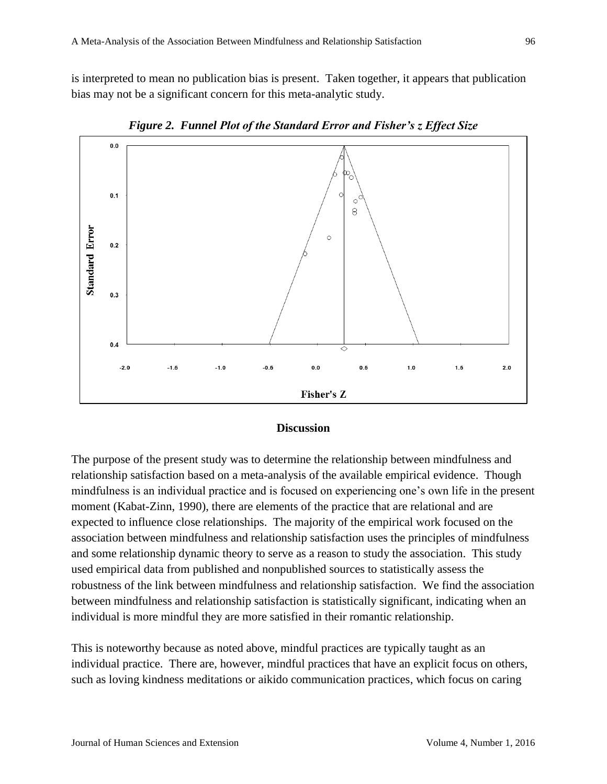is interpreted to mean no publication bias is present. Taken together, it appears that publication bias may not be a significant concern for this meta-analytic study.



*Figure 2. Funnel Plot of the Standard Error and Fisher's z Effect Size*

#### **Discussion**

The purpose of the present study was to determine the relationship between mindfulness and relationship satisfaction based on a meta-analysis of the available empirical evidence. Though mindfulness is an individual practice and is focused on experiencing one's own life in the present moment (Kabat-Zinn, 1990), there are elements of the practice that are relational and are expected to influence close relationships. The majority of the empirical work focused on the association between mindfulness and relationship satisfaction uses the principles of mindfulness and some relationship dynamic theory to serve as a reason to study the association. This study used empirical data from published and nonpublished sources to statistically assess the robustness of the link between mindfulness and relationship satisfaction. We find the association between mindfulness and relationship satisfaction is statistically significant, indicating when an individual is more mindful they are more satisfied in their romantic relationship.

This is noteworthy because as noted above, mindful practices are typically taught as an individual practice. There are, however, mindful practices that have an explicit focus on others, such as loving kindness meditations or aikido communication practices, which focus on caring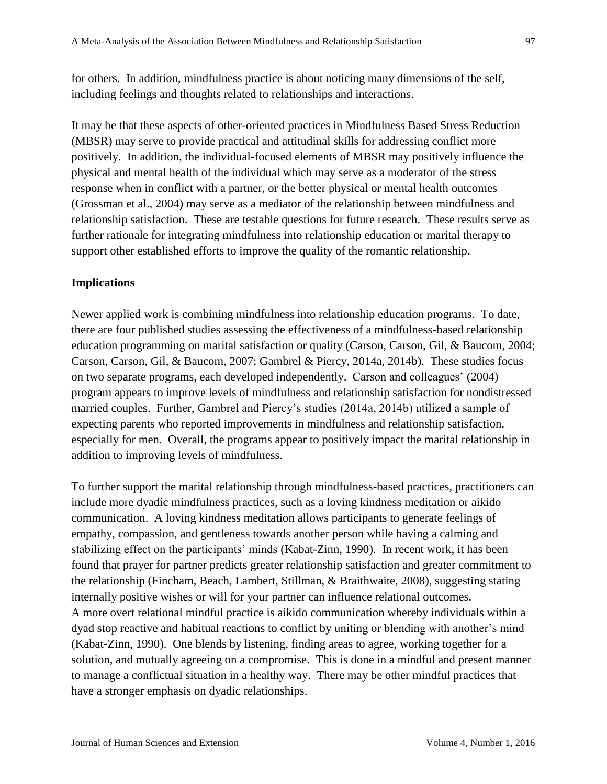for others. In addition, mindfulness practice is about noticing many dimensions of the self, including feelings and thoughts related to relationships and interactions.

It may be that these aspects of other-oriented practices in Mindfulness Based Stress Reduction (MBSR) may serve to provide practical and attitudinal skills for addressing conflict more positively. In addition, the individual-focused elements of MBSR may positively influence the physical and mental health of the individual which may serve as a moderator of the stress response when in conflict with a partner, or the better physical or mental health outcomes (Grossman et al., 2004) may serve as a mediator of the relationship between mindfulness and relationship satisfaction. These are testable questions for future research. These results serve as further rationale for integrating mindfulness into relationship education or marital therapy to support other established efforts to improve the quality of the romantic relationship.

## **Implications**

Newer applied work is combining mindfulness into relationship education programs. To date, there are four published studies assessing the effectiveness of a mindfulness-based relationship education programming on marital satisfaction or quality (Carson, Carson, Gil, & Baucom, 2004; Carson, Carson, Gil, & Baucom, 2007; Gambrel & Piercy, 2014a, 2014b). These studies focus on two separate programs, each developed independently. Carson and colleagues' (2004) program appears to improve levels of mindfulness and relationship satisfaction for nondistressed married couples. Further, Gambrel and Piercy's studies (2014a, 2014b) utilized a sample of expecting parents who reported improvements in mindfulness and relationship satisfaction, especially for men. Overall, the programs appear to positively impact the marital relationship in addition to improving levels of mindfulness.

To further support the marital relationship through mindfulness-based practices, practitioners can include more dyadic mindfulness practices, such as a loving kindness meditation or aikido communication. A loving kindness meditation allows participants to generate feelings of empathy, compassion, and gentleness towards another person while having a calming and stabilizing effect on the participants' minds (Kabat-Zinn, 1990). In recent work, it has been found that prayer for partner predicts greater relationship satisfaction and greater commitment to the relationship (Fincham, Beach, Lambert, Stillman, & Braithwaite, 2008), suggesting stating internally positive wishes or will for your partner can influence relational outcomes. A more overt relational mindful practice is aikido communication whereby individuals within a dyad stop reactive and habitual reactions to conflict by uniting or blending with another's mind (Kabat-Zinn, 1990). One blends by listening, finding areas to agree, working together for a solution, and mutually agreeing on a compromise. This is done in a mindful and present manner to manage a conflictual situation in a healthy way. There may be other mindful practices that have a stronger emphasis on dyadic relationships.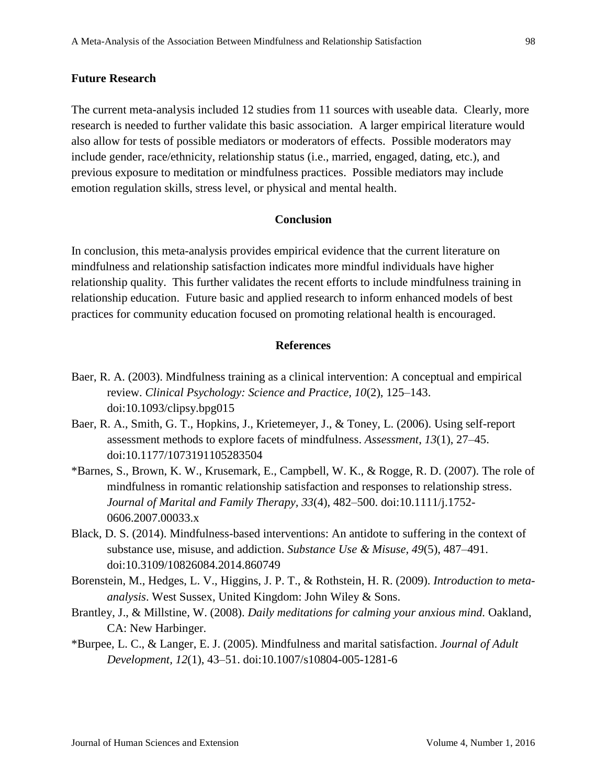#### **Future Research**

The current meta-analysis included 12 studies from 11 sources with useable data. Clearly, more research is needed to further validate this basic association. A larger empirical literature would also allow for tests of possible mediators or moderators of effects. Possible moderators may include gender, race/ethnicity, relationship status (i.e., married, engaged, dating, etc.), and previous exposure to meditation or mindfulness practices. Possible mediators may include emotion regulation skills, stress level, or physical and mental health.

### **Conclusion**

In conclusion, this meta-analysis provides empirical evidence that the current literature on mindfulness and relationship satisfaction indicates more mindful individuals have higher relationship quality. This further validates the recent efforts to include mindfulness training in relationship education. Future basic and applied research to inform enhanced models of best practices for community education focused on promoting relational health is encouraged.

#### **References**

- Baer, R. A. (2003). Mindfulness training as a clinical intervention: A conceptual and empirical review. *Clinical Psychology: Science and Practice, 10*(2), 125–143. doi:10.1093/clipsy.bpg015
- Baer, R. A., Smith, G. T., Hopkins, J., Krietemeyer, J., & Toney, L. (2006). Using self-report assessment methods to explore facets of mindfulness. *Assessment*, *13*(1), 27–45. doi:10.1177/1073191105283504
- \*Barnes, S., Brown, K. W., Krusemark, E., Campbell, W. K., & Rogge, R. D. (2007). The role of mindfulness in romantic relationship satisfaction and responses to relationship stress. *Journal of Marital and Family Therapy, 33*(4), 482–500. doi:10.1111/j.1752- 0606.2007.00033.x
- Black, D. S. (2014). Mindfulness-based interventions: An antidote to suffering in the context of substance use, misuse, and addiction. *Substance Use & Misuse, 49*(5), 487–491. doi:10.3109/10826084.2014.860749
- Borenstein, M., Hedges, L. V., Higgins, J. P. T., & Rothstein, H. R. (2009). *Introduction to metaanalysis*. West Sussex, United Kingdom: John Wiley & Sons.
- Brantley, J., & Millstine, W. (2008). *Daily meditations for calming your anxious mind.* Oakland, CA: New Harbinger.
- \*Burpee, L. C., & Langer, E. J. (2005). Mindfulness and marital satisfaction. *Journal of Adult Development, 12*(1), 43–51. doi:10.1007/s10804-005-1281-6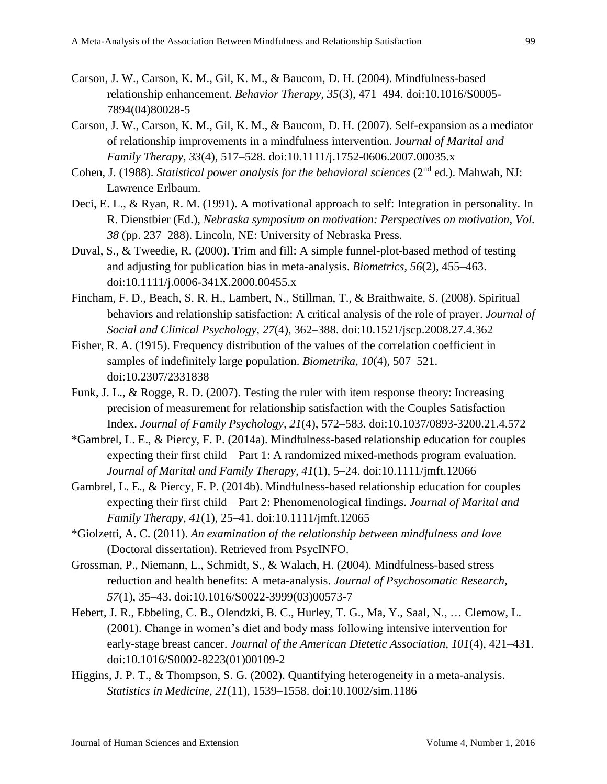- Carson, J. W., Carson, K. M., Gil, K. M., & Baucom, D. H. (2004). Mindfulness-based relationship enhancement. *Behavior Therapy, 35*(3), 471–494. [doi:10.1016/S0005-](http://dx.doi.org/10.1016/S0005-7894(04)80028-5) [7894\(04\)80028-5](http://dx.doi.org/10.1016/S0005-7894(04)80028-5)
- Carson, J. W., Carson, K. M., Gil, K. M., & Baucom, D. H. (2007). Self-expansion as a mediator of relationship improvements in a mindfulness intervention. J*ournal of Marital and Family Therapy, 33*(4), 517–528. doi:10.1111/j.1752-0606.2007.00035.x
- Cohen, J. (1988). *Statistical power analysis for the behavioral sciences* (2<sup>nd</sup> ed.). Mahwah, NJ: Lawrence Erlbaum.
- Deci, E. L., & Ryan, R. M. (1991). A motivational approach to self: Integration in personality. In R. Dienstbier (Ed.), *Nebraska symposium on motivation: Perspectives on motivation, Vol. 38* (pp. 237–288). Lincoln, NE: University of Nebraska Press.
- Duval, S., & Tweedie, R. (2000). Trim and fill: A simple funnel-plot-based method of testing and adjusting for publication bias in meta-analysis. *Biometrics, 56*(2), 455–463. doi:10.1111/j.0006-341X.2000.00455.x
- Fincham, F. D., Beach, S. R. H., Lambert, N., Stillman, T., & Braithwaite, S. (2008). Spiritual behaviors and relationship satisfaction: A critical analysis of the role of prayer. *Journal of Social and Clinical Psychology, 27*(4), 362–388. doi:10.1521/jscp.2008.27.4.362
- Fisher, R. A. (1915). Frequency distribution of the values of the correlation coefficient in samples of indefinitely large population. *Biometrika, 10*(4), 507–521. doi:10.2307/2331838
- Funk, J. L., & Rogge, R. D. (2007). Testing the ruler with item response theory: Increasing precision of measurement for relationship satisfaction with the Couples Satisfaction Index. *Journal of Family Psychology, 21*(4), 572–583. doi:10.1037/0893-3200.21.4.572
- \*Gambrel, L. E., & Piercy, F. P. (2014a). Mindfulness-based relationship education for couples expecting their first child—Part 1: A randomized mixed-methods program evaluation. *Journal of Marital and Family Therapy, 41*(1), 5–24. doi:10.1111/jmft.12066
- Gambrel, L. E., & Piercy, F. P. (2014b). Mindfulness-based relationship education for couples expecting their first child—Part 2: Phenomenological findings. *Journal of Marital and Family Therapy, 41*(1), 25–41. doi:10.1111/jmft.12065
- \*Giolzetti, A. C. (2011). *An examination of the relationship between mindfulness and love* (Doctoral dissertation). Retrieved from PsycINFO.
- Grossman, P., Niemann, L., Schmidt, S., & Walach, H. (2004). Mindfulness-based stress reduction and health benefits: A meta-analysis. *Journal of Psychosomatic Research, 57*(1), 35–43. [doi:10.1016/S0022-3999\(03\)00573-7](http://dx.doi.org/10.1016/S0022-3999(03)00573-7)
- Hebert, J. R., Ebbeling, C. B., Olendzki, B. C., Hurley, T. G., Ma, Y., Saal, N., … Clemow, L. (2001). Change in women's diet and body mass following intensive intervention for early-stage breast cancer. *Journal of the American Dietetic Association, 101*(4), 421–431. [doi:10.1016/S0002-8223\(01\)00109-2](http://dx.doi.org/10.1016/S0002-8223(01)00109-2)
- Higgins, J. P. T., & Thompson, S. G. (2002). Quantifying heterogeneity in a meta-analysis. *Statistics in Medicine, 21*(11), 1539–1558. doi:10.1002/sim.1186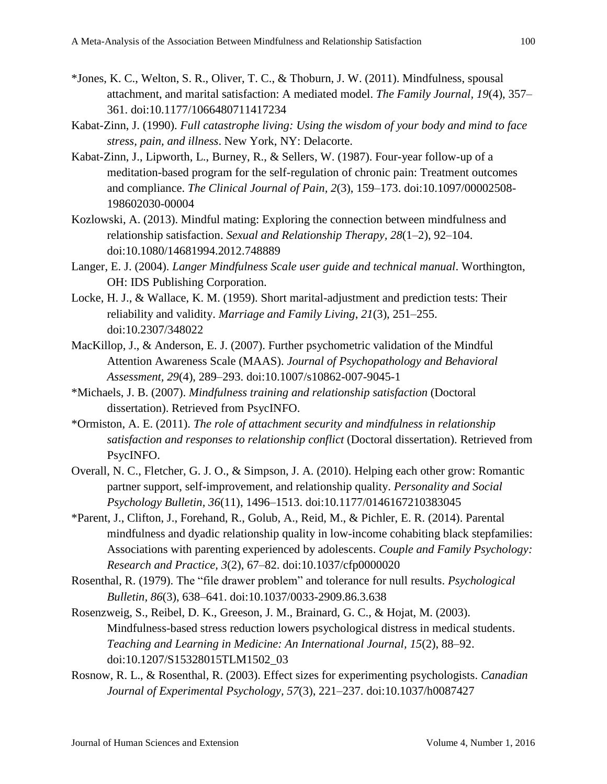- \*Jones, K. C., Welton, S. R., Oliver, T. C., & Thoburn, J. W. (2011). Mindfulness, spousal attachment, and marital satisfaction: A mediated model. *The Family Journal, 19*(4), 357– 361. doi:10.1177/1066480711417234
- Kabat-Zinn, J. (1990). *Full catastrophe living: Using the wisdom of your body and mind to face stress, pain, and illness*. New York, NY: Delacorte.
- Kabat-Zinn, J., Lipworth, L., Burney, R., & Sellers, W. (1987). Four-year follow-up of a meditation-based program for the self-regulation of chronic pain: Treatment outcomes and compliance. *The Clinical Journal of Pain, 2*(3), 159–173. doi:10.1097/00002508- 198602030-00004
- Kozlowski, A. (2013). Mindful mating: Exploring the connection between mindfulness and relationship satisfaction. *Sexual and Relationship Therapy, 28*(1–2), 92–104. doi:10.1080/14681994.2012.748889
- Langer, E. J. (2004). *Langer Mindfulness Scale user guide and technical manual*. Worthington, OH: IDS Publishing Corporation.
- Locke, H. J., & Wallace, K. M. (1959). Short marital-adjustment and prediction tests: Their reliability and validity. *Marriage and Family Living*, *21*(3), 251–255. doi:10.2307/348022
- MacKillop, J., & Anderson, E. J. (2007). Further psychometric validation of the Mindful Attention Awareness Scale (MAAS). *Journal of Psychopathology and Behavioral Assessment, 29*(4), 289–293. doi:10.1007/s10862-007-9045-1
- \*Michaels, J. B. (2007). *Mindfulness training and relationship satisfaction* (Doctoral dissertation). Retrieved from PsycINFO.
- \*Ormiston, A. E. (2011). *The role of attachment security and mindfulness in relationship satisfaction and responses to relationship conflict* (Doctoral dissertation). Retrieved from PsycINFO.
- Overall, N. C., Fletcher, G. J. O., & Simpson, J. A. (2010). Helping each other grow: Romantic partner support, self-improvement, and relationship quality. *Personality and Social Psychology Bulletin, 36*(11), 1496–1513. doi:10.1177/0146167210383045
- \*Parent, J., Clifton, J., Forehand, R., Golub, A., Reid, M., & Pichler, E. R. (2014). Parental mindfulness and dyadic relationship quality in low-income cohabiting black stepfamilies: Associations with parenting experienced by adolescents. *Couple and Family Psychology: Research and Practice, 3*(2), 67–82. doi:10.1037/cfp0000020
- Rosenthal, R. (1979). The "file drawer problem" and tolerance for null results. *Psychological Bulletin, 86*(3), 638–641. doi:10.1037/0033-2909.86.3.638
- Rosenzweig, S., Reibel, D. K., Greeson, J. M., Brainard, G. C., & Hojat, M. (2003). Mindfulness-based stress reduction lowers psychological distress in medical students. *Teaching and Learning in Medicine: An International Journal, 15*(2), 88–92. doi:10.1207/S15328015TLM1502\_03
- Rosnow, R. L., & Rosenthal, R. (2003). Effect sizes for experimenting psychologists. *Canadian Journal of Experimental Psychology, 57*(3), 221–237. doi:10.1037/h0087427